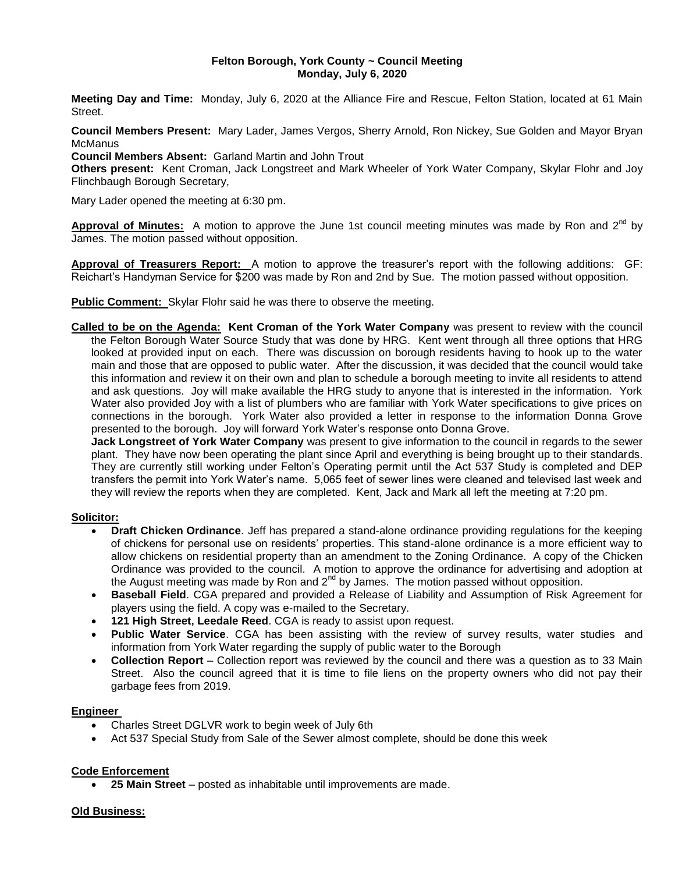### **Felton Borough, York County ~ Council Meeting Monday, July 6, 2020**

**Meeting Day and Time:** Monday, July 6, 2020 at the Alliance Fire and Rescue, Felton Station, located at 61 Main Street.

**Council Members Present:** Mary Lader, James Vergos, Sherry Arnold, Ron Nickey, Sue Golden and Mayor Bryan **McManus** 

**Council Members Absent:** Garland Martin and John Trout

**Others present:** Kent Croman, Jack Longstreet and Mark Wheeler of York Water Company, Skylar Flohr and Joy Flinchbaugh Borough Secretary,

Mary Lader opened the meeting at 6:30 pm.

**Approval of Minutes:** A motion to approve the June 1st council meeting minutes was made by Ron and 2<sup>nd</sup> by James. The motion passed without opposition.

**Approval of Treasurers Report:** A motion to approve the treasurer's report with the following additions: GF: Reichart's Handyman Service for \$200 was made by Ron and 2nd by Sue. The motion passed without opposition.

**Public Comment:** Skylar Flohr said he was there to observe the meeting.

**Called to be on the Agenda: Kent Croman of the York Water Company** was present to review with the council the Felton Borough Water Source Study that was done by HRG. Kent went through all three options that HRG looked at provided input on each. There was discussion on borough residents having to hook up to the water main and those that are opposed to public water. After the discussion, it was decided that the council would take this information and review it on their own and plan to schedule a borough meeting to invite all residents to attend and ask questions. Joy will make available the HRG study to anyone that is interested in the information. York Water also provided Joy with a list of plumbers who are familiar with York Water specifications to give prices on connections in the borough. York Water also provided a letter in response to the information Donna Grove presented to the borough. Joy will forward York Water's response onto Donna Grove.

**Jack Longstreet of York Water Company** was present to give information to the council in regards to the sewer plant. They have now been operating the plant since April and everything is being brought up to their standards. They are currently still working under Felton's Operating permit until the Act 537 Study is completed and DEP transfers the permit into York Water's name. 5,065 feet of sewer lines were cleaned and televised last week and they will review the reports when they are completed. Kent, Jack and Mark all left the meeting at 7:20 pm.

## **Solicitor:**

- **Draft Chicken Ordinance**. Jeff has prepared a stand-alone ordinance providing regulations for the keeping of chickens for personal use on residents' properties. This stand-alone ordinance is a more efficient way to allow chickens on residential property than an amendment to the Zoning Ordinance. A copy of the Chicken Ordinance was provided to the council. A motion to approve the ordinance for advertising and adoption at the August meeting was made by Ron and  $2^{nd}$  by James. The motion passed without opposition.
- **Baseball Field**. CGA prepared and provided a Release of Liability and Assumption of Risk Agreement for players using the field. A copy was e-mailed to the Secretary.
- **121 High Street, Leedale Reed**. CGA is ready to assist upon request.
- **Public Water Service**. CGA has been assisting with the review of survey results, water studies and information from York Water regarding the supply of public water to the Borough
- **Collection Report** Collection report was reviewed by the council and there was a question as to 33 Main Street. Also the council agreed that it is time to file liens on the property owners who did not pay their garbage fees from 2019.

## **Engineer**

- Charles Street DGLVR work to begin week of July 6th
- Act 537 Special Study from Sale of the Sewer almost complete, should be done this week

## **Code Enforcement**

**25 Main Street** – posted as inhabitable until improvements are made.

#### **Old Business:**